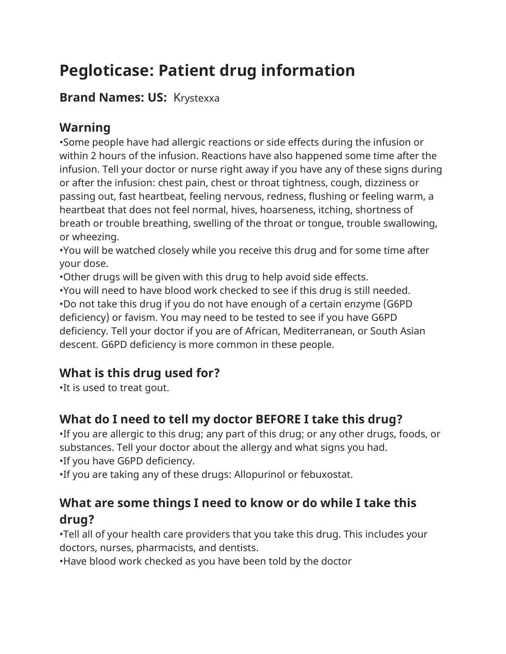# **Pegloticase: Patient drug information**

### **Brand Names: US:** Krystexxa

# **Warning**

•Some people have had allergic reactions or side effects during the infusion or within 2 hours of the infusion. Reactions have also happened some time after the infusion. Tell your doctor or nurse right away if you have any of these signs during or after the infusion: chest pain, chest or throat tightness, cough, dizziness or passing out, fast heartbeat, feeling nervous, redness, flushing or feeling warm, a heartbeat that does not feel normal, hives, hoarseness, itching, shortness of breath or trouble breathing, swelling of the throat or tongue, trouble swallowing, or wheezing.

•You will be watched closely while you receive this drug and for some time after your dose.

•Other drugs will be given with this drug to help avoid side effects.

•You will need to have blood work checked to see if this drug is still needed. •Do not take this drug if you do not have enough of a certain enzyme (G6PD deficiency) or favism. You may need to be tested to see if you have G6PD deficiency. Tell your doctor if you are of African, Mediterranean, or South Asian descent. G6PD deficiency is more common in these people.

# **What is this drug used for?**

•It is used to treat gout.

# **What do I need to tell my doctor BEFORE I take this drug?**

•If you are allergic to this drug; any part of this drug; or any other drugs, foods, or substances. Tell your doctor about the allergy and what signs you had. •If you have G6PD deficiency.

•If you are taking any of these drugs: Allopurinol or febuxostat.

# **What are some things I need to know or do while I take this drug?**

•Tell all of your health care providers that you take this drug. This includes your doctors, nurses, pharmacists, and dentists.

•Have blood work checked as you have been told by the doctor